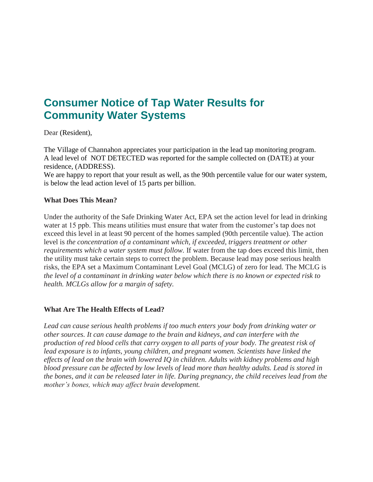# **Consumer Notice of Tap Water Results for Community Water Systems**

Dear (Resident),

The Village of Channahon appreciates your participation in the lead tap monitoring program. A lead level of NOT DETECTED was reported for the sample collected on (DATE) at your residence, (ADDRESS).

We are happy to report that your result as well, as the 90th percentile value for our water system, is below the lead action level of 15 parts per billion.

### **What Does This Mean?**

Under the authority of the Safe Drinking Water Act, EPA set the action level for lead in drinking water at 15 ppb. This means utilities must ensure that water from the customer's tap does not exceed this level in at least 90 percent of the homes sampled (90th percentile value). The action level is *the concentration of a contaminant which, if exceeded, triggers treatment or other requirements which a water system must follow.* If water from the tap does exceed this limit, then the utility must take certain steps to correct the problem. Because lead may pose serious health risks, the EPA set a Maximum Contaminant Level Goal (MCLG) of zero for lead. The MCLG is *the level of a contaminant in drinking water below which there is no known or expected risk to health. MCLGs allow for a margin of safety.*

## **What Are The Health Effects of Lead?**

*Lead can cause serious health problems if too much enters your body from drinking water or other sources. It can cause damage to the brain and kidneys, and can interfere with the production of red blood cells that carry oxygen to all parts of your body. The greatest risk of lead exposure is to infants, young children, and pregnant women. Scientists have linked the effects of lead on the brain with lowered IQ in children. Adults with kidney problems and high blood pressure can be affected by low levels of lead more than healthy adults. Lead is stored in the bones, and it can be released later in life. During pregnancy, the child receives lead from the mother's bones, which may affect brain development.*